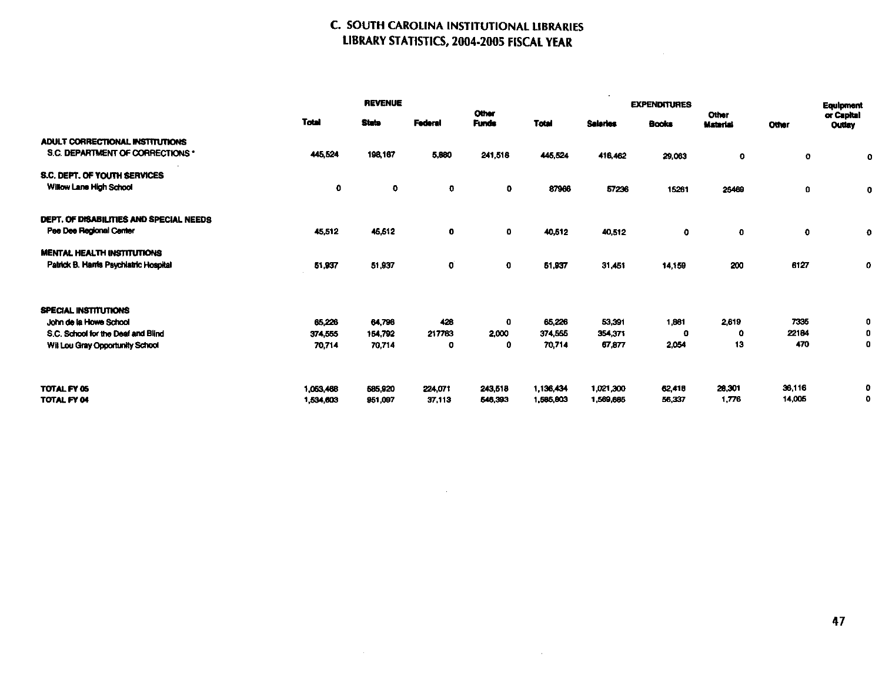## C. SOUTH CAROLINA INSTITUTIONAL LIBRARIES LIBRARY STATISTICS, 2004-2005 FISCAL YEAR

 $\sim$ 

 $\mathcal{L}^{\text{max}}_{\text{max}}$  and  $\mathcal{L}^{\text{max}}_{\text{max}}$ 

|                                                                                             | <b>REVENUE</b>         |                    |                   | <b>EXPENDITURES</b>   |                        |                        |                  |                                 | Equipment        |                      |
|---------------------------------------------------------------------------------------------|------------------------|--------------------|-------------------|-----------------------|------------------------|------------------------|------------------|---------------------------------|------------------|----------------------|
|                                                                                             | <b>Total</b>           | <b>State</b>       | <b>Federal</b>    | Other<br><b>Funds</b> | <b>Total</b>           | <b>Salaries</b>        | Books            | <b>Other</b><br><b>Material</b> | <b>Other</b>     | or Capital<br>Outlay |
| ADULT CORRECTIONAL INSTITUTIONS<br>S.C. DEPARTMENT OF CORRECTIONS *                         | 445,524                | 198,167            | 5,880             | 241,518               | 445,524                | 416,462                | 29.063           | 0                               | 0                | $\mathbf{o}$         |
| S.C. DEPT. OF YOUTH SERVICES<br>Willow Lane High School                                     | $\mathbf o$            | 0                  | $\mathbf{o}$      | 0                     | 87966                  | 57236                  | 15261            | 25469                           | 0                | $\mathbf 0$          |
| DEPT. OF DISABILITIES AND SPECIAL NEEDS<br>Pee Dee Regional Center                          | 45,512                 | 46,612             | 0                 | ٥                     | 40,612                 | 40,512                 | 0                | $\mathbf 0$                     | $\mathbf{o}$     | $\mathbf 0$          |
| <b>MENTAL HEALTH INSTITUTIONS</b><br>Patrick B. Harris Psychiatric Hospital                 | 51,937                 | 51,937             | $\mathbf 0$       | $\mathbf 0$           | 51,937                 | 31,451                 | 14,159           | 200                             | 6127             | 0                    |
| <b>SPECIAL INSTITUTIONS</b><br>John de la Howe School<br>S.C. School for the Deaf and Blind | 65,226<br>374,555      | 64,798<br>154.792  | 428<br>217763     | 0<br>2,000            | 65,226<br>374,555      | 53,391<br>354,371      | 1881<br>-0       | 2,619<br>$\mathbf o$            | 7335<br>22184    | 0<br>0               |
| Wil Lou Gray Opportunity School                                                             | 70,714                 | 70,714             | o                 | 0                     | 70,714                 | 67.877                 | 2,054            | 13                              | 470              | 0                    |
| TOTAL FY 05<br>TOTAL FY 04                                                                  | 1,053,468<br>1,534,603 | 585,920<br>951,097 | 224,071<br>37,113 | 243,518<br>546,393    | 1,136,434<br>1,585,803 | 1,021,300<br>1,569,685 | 62,418<br>56.337 | 28,301<br>1,776                 | 36,116<br>14,005 | 0<br>o               |